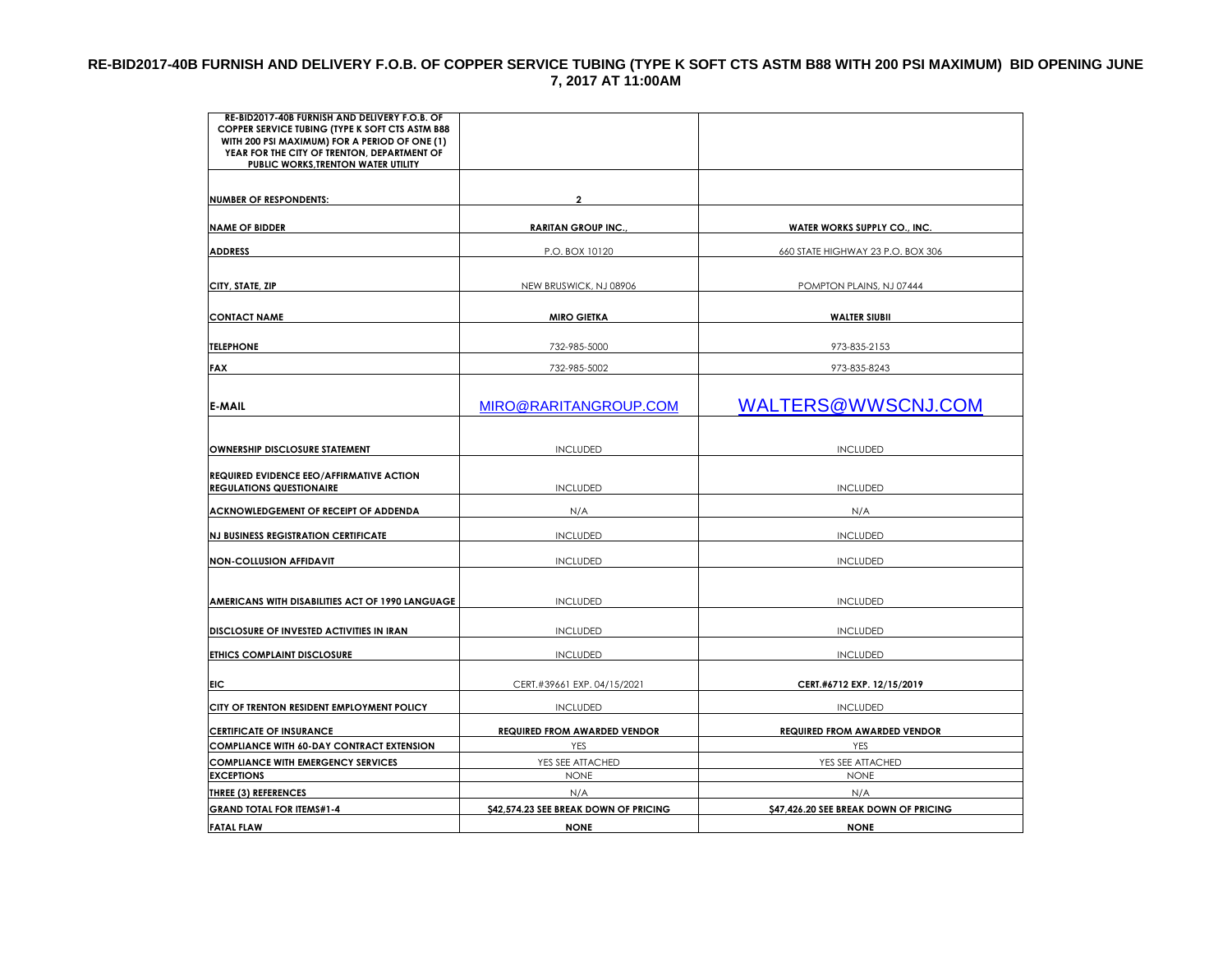#### **RE-BID2017-40B FURNISH AND DELIVERY F.O.B. OF COPPER SERVICE TUBING (TYPE K SOFT CTS ASTM B88 WITH 200 PSI MAXIMUM) BID OPENING JUNE 7, 2017 AT 11:00AM**

| RE-BID2017-40B FURNISH AND DELIVERY F.O.B. OF<br>COPPER SERVICE TUBING (TYPE K SOFT CTS ASTM B88<br>WITH 200 PSI MAXIMUM) FOR A PERIOD OF ONE (1) |                                       |                                       |
|---------------------------------------------------------------------------------------------------------------------------------------------------|---------------------------------------|---------------------------------------|
| YEAR FOR THE CITY OF TRENTON, DEPARTMENT OF<br>PUBLIC WORKS, TRENTON WATER UTILITY                                                                |                                       |                                       |
|                                                                                                                                                   |                                       |                                       |
| <b>NUMBER OF RESPONDENTS:</b>                                                                                                                     | $\mathbf{2}$                          |                                       |
|                                                                                                                                                   |                                       |                                       |
| <b>NAME OF BIDDER</b>                                                                                                                             | <b>RARITAN GROUP INC.,</b>            | WATER WORKS SUPPLY CO., INC.          |
| <b>ADDRESS</b>                                                                                                                                    | P.O. BOX 10120                        | 660 STATE HIGHWAY 23 P.O. BOX 306     |
| CITY, STATE, ZIP                                                                                                                                  | NEW BRUSWICK, NJ 08906                | POMPTON PLAINS, NJ 07444              |
| <b>CONTACT NAME</b>                                                                                                                               | <b>MIRO GIETKA</b>                    | <b>WALTER SIUBII</b>                  |
| <b>TELEPHONE</b>                                                                                                                                  | 732-985-5000                          | 973-835-2153                          |
| <b>FAX</b>                                                                                                                                        | 732-985-5002                          | 973-835-8243                          |
|                                                                                                                                                   |                                       |                                       |
| <b>E-MAIL</b>                                                                                                                                     | MIRO@RARITANGROUP.COM                 | WALTERS@WWSCNJ.COM                    |
|                                                                                                                                                   |                                       |                                       |
| OWNERSHIP DISCLOSURE STATEMENT                                                                                                                    | <b>INCLUDED</b>                       | <b>INCLUDED</b>                       |
|                                                                                                                                                   |                                       |                                       |
| <b>REQUIRED EVIDENCE EEO/AFFIRMATIVE ACTION</b><br><b>REGULATIONS QUESTIONAIRE</b>                                                                | <b>INCLUDED</b>                       | <b>INCLUDED</b>                       |
| ACKNOWLEDGEMENT OF RECEIPT OF ADDENDA                                                                                                             | N/A                                   | N/A                                   |
|                                                                                                                                                   |                                       |                                       |
| <b>NJ BUSINESS REGISTRATION CERTIFICATE</b>                                                                                                       | <b>INCLUDED</b>                       | <b>INCLUDED</b>                       |
| <b>NON-COLLUSION AFFIDAVIT</b>                                                                                                                    | <b>INCLUDED</b>                       | <b>INCLUDED</b>                       |
|                                                                                                                                                   |                                       |                                       |
| AMERICANS WITH DISABILITIES ACT OF 1990 LANGUAGE                                                                                                  | <b>INCLUDED</b>                       | <b>INCLUDED</b>                       |
|                                                                                                                                                   |                                       |                                       |
| DISCLOSURE OF INVESTED ACTIVITIES IN IRAN                                                                                                         | <b>INCLUDED</b>                       | <b>INCLUDED</b>                       |
| ETHICS COMPLAINT DISCLOSURE                                                                                                                       | <b>INCLUDED</b>                       | <b>INCLUDED</b>                       |
| <b>FIC</b>                                                                                                                                        | CERT.#39661 EXP. 04/15/2021           | CERT.#6712 EXP. 12/15/2019            |
| CITY OF TRENTON RESIDENT EMPLOYMENT POLICY                                                                                                        | <b>INCLUDED</b>                       | <b>INCLUDED</b>                       |
| <b>CERTIFICATE OF INSURANCE</b>                                                                                                                   | <b>REQUIRED FROM AWARDED VENDOR</b>   | <b>REQUIRED FROM AWARDED VENDOR</b>   |
| <b>COMPLIANCE WITH 60-DAY CONTRACT EXTENSION</b>                                                                                                  | <b>YES</b>                            | <b>YES</b>                            |
| <b>COMPLIANCE WITH EMERGENCY SERVICES</b>                                                                                                         | YES SEE ATTACHED                      | YES SEE ATTACHED                      |
| <b>EXCEPTIONS</b>                                                                                                                                 | <b>NONE</b>                           | <b>NONE</b>                           |
| <b>THREE (3) REFERENCES</b>                                                                                                                       | N/A                                   | N/A                                   |
| <b>GRAND TOTAL FOR ITEMS#1-4</b>                                                                                                                  | \$42,574.23 SEE BREAK DOWN OF PRICING | \$47,426.20 SEE BREAK DOWN OF PRICING |
| <b>FATAL FLAW</b>                                                                                                                                 | <b>NONE</b>                           | <b>NONE</b>                           |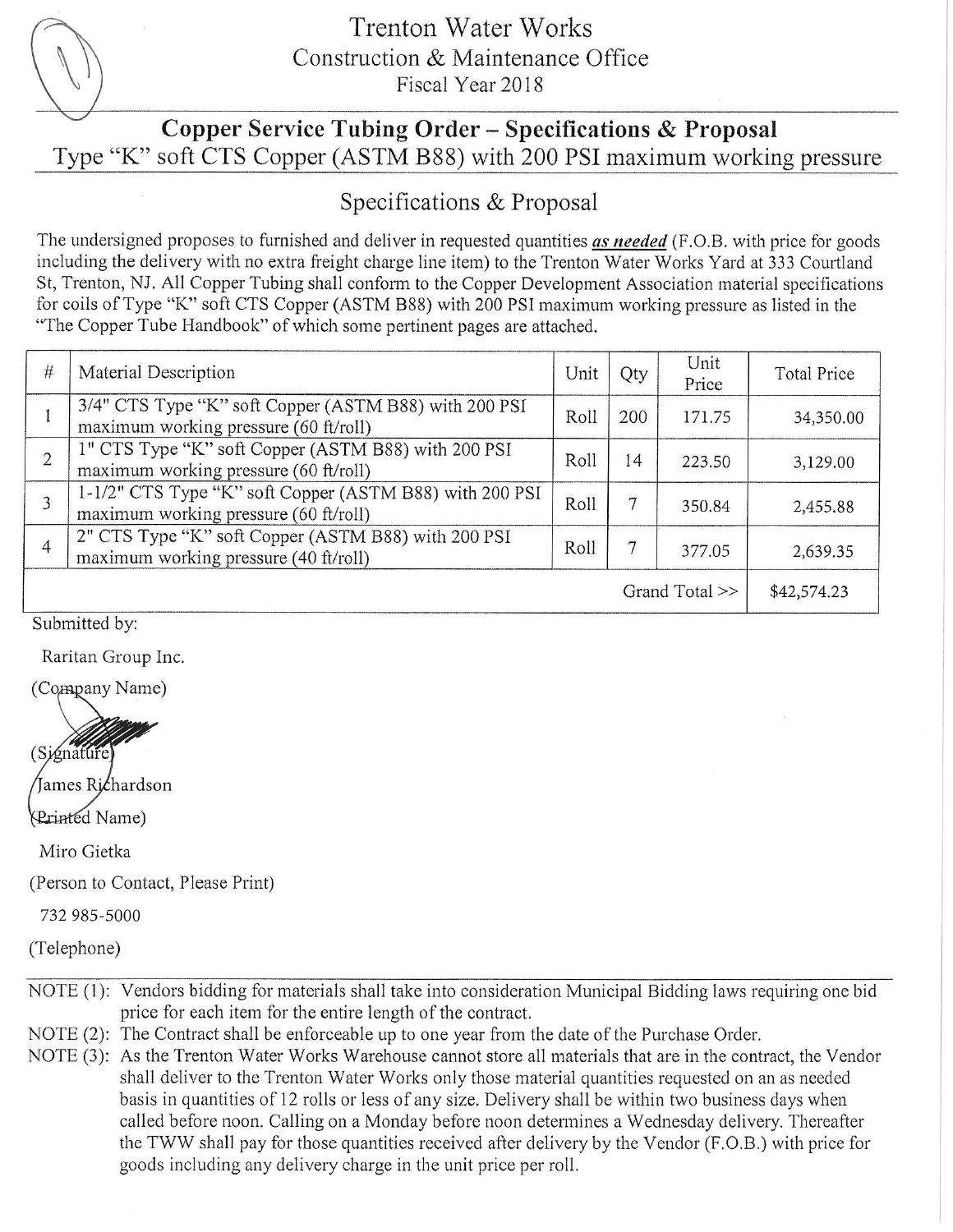

### **Trenton Water Works** Construction & Maintenance Office Fiscal Year 2018

## Copper Service Tubing Order - Specifications & Proposal Type "K" soft CTS Copper (ASTM B88) with 200 PSI maximum working pressure

## Specifications & Proposal

The undersigned proposes to furnished and deliver in requested quantities as needed (F.O.B. with price for goods including the delivery with no extra freight charge line item) to the Trenton Water Works Yard at 333 Courtland St, Trenton, NJ. All Copper Tubing shall conform to the Copper Development Association material specifications for coils of Type "K" soft CTS Copper (ASTM B88) with 200 PSI maximum working pressure as listed in the "The Copper Tube Handbook" of which some pertinent pages are attached.

| $\#$              | Material Description                                                                             | Unit | Qty | Unit<br>Price | <b>Total Price</b> |
|-------------------|--------------------------------------------------------------------------------------------------|------|-----|---------------|--------------------|
|                   | 3/4" CTS Type "K" soft Copper (ASTM B88) with 200 PSI<br>maximum working pressure (60 ft/roll)   | Roll | 200 | 171.75        | 34,350.00          |
| $\overline{2}$    | 1" CTS Type "K" soft Copper (ASTM B88) with 200 PSI<br>maximum working pressure (60 ft/roll)     | Roll | 14  | 223.50        | 3,129.00           |
|                   | 1-1/2" CTS Type "K" soft Copper (ASTM B88) with 200 PSI<br>maximum working pressure (60 ft/roll) | Roll |     | 350.84        | 2,455.88           |
|                   | 2" CTS Type "K" soft Copper (ASTM B88) with 200 PSI<br>maximum working pressure (40 ft/roll)     | Roll |     | 377.05        | 2,639.35           |
| Grand Total $\gg$ |                                                                                                  |      |     |               | \$42,574.23        |

Submitted by:

Raritan Group Inc.

(Company Name)

(Signature James Richardson

Printed Name)

Miro Gietka

(Person to Contact, Please Print)

732 985-5000

(Telephone)

- NOTE (1): Vendors bidding for materials shall take into consideration Municipal Bidding laws requiring one bid price for each item for the entire length of the contract.
- NOTE (2): The Contract shall be enforceable up to one year from the date of the Purchase Order.
- NOTE (3): As the Trenton Water Works Warehouse cannot store all materials that are in the contract, the Vendor shall deliver to the Trenton Water Works only those material quantities requested on an as needed basis in quantities of 12 rolls or less of any size. Delivery shall be within two business days when called before noon. Calling on a Monday before noon determines a Wednesday delivery. Thereafter the TWW shall pay for those quantities received after delivery by the Vendor (F.O.B.) with price for goods including any delivery charge in the unit price per roll.